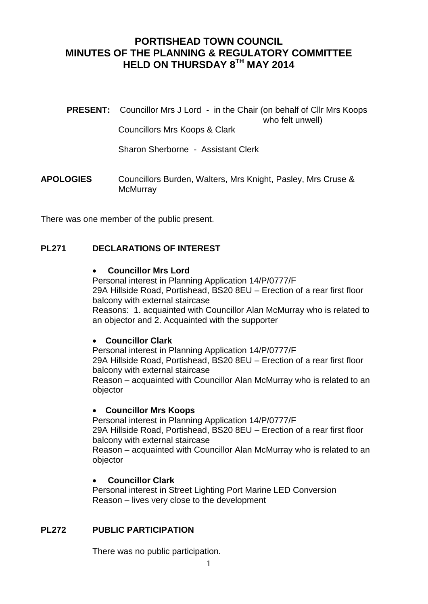# **PORTISHEAD TOWN COUNCIL MINUTES OF THE PLANNING & REGULATORY COMMITTEE HELD ON THURSDAY 8TH MAY 2014**

**PRESENT:** Councillor Mrs J Lord - in the Chair (on behalf of Cllr Mrs Koops who felt unwell) Councillors Mrs Koops & Clark

Sharon Sherborne - Assistant Clerk

**APOLOGIES** Councillors Burden, Walters, Mrs Knight, Pasley, Mrs Cruse & **McMurrav** 

There was one member of the public present.

### **PL271 DECLARATIONS OF INTEREST**

#### **Councillor Mrs Lord**

Personal interest in Planning Application 14/P/0777/F 29A Hillside Road, Portishead, BS20 8EU – Erection of a rear first floor balcony with external staircase Reasons: 1. acquainted with Councillor Alan McMurray who is related to an objector and 2. Acquainted with the supporter

### **Councillor Clark**

Personal interest in Planning Application 14/P/0777/F 29A Hillside Road, Portishead, BS20 8EU – Erection of a rear first floor balcony with external staircase Reason – acquainted with Councillor Alan McMurray who is related to an objector

#### **Councillor Mrs Koops**

Personal interest in Planning Application 14/P/0777/F 29A Hillside Road, Portishead, BS20 8EU – Erection of a rear first floor balcony with external staircase Reason – acquainted with Councillor Alan McMurray who is related to an

objector

### **Councillor Clark**

Personal interest in Street Lighting Port Marine LED Conversion Reason – lives very close to the development

## **PL272 PUBLIC PARTICIPATION**

There was no public participation.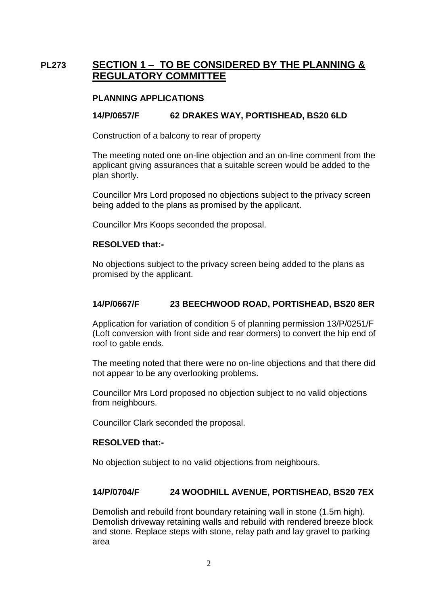# **PL273 SECTION 1 – TO BE CONSIDERED BY THE PLANNING & REGULATORY COMMITTEE**

### **PLANNING APPLICATIONS**

### **14/P/0657/F 62 DRAKES WAY, PORTISHEAD, BS20 6LD**

Construction of a balcony to rear of property

The meeting noted one on-line objection and an on-line comment from the applicant giving assurances that a suitable screen would be added to the plan shortly.

Councillor Mrs Lord proposed no objections subject to the privacy screen being added to the plans as promised by the applicant.

Councillor Mrs Koops seconded the proposal.

#### **RESOLVED that:-**

No objections subject to the privacy screen being added to the plans as promised by the applicant.

### **14/P/0667/F 23 BEECHWOOD ROAD, PORTISHEAD, BS20 8ER**

Application for variation of condition 5 of planning permission 13/P/0251/F (Loft conversion with front side and rear dormers) to convert the hip end of roof to gable ends.

The meeting noted that there were no on-line objections and that there did not appear to be any overlooking problems.

Councillor Mrs Lord proposed no objection subject to no valid objections from neighbours.

Councillor Clark seconded the proposal.

### **RESOLVED that:-**

No objection subject to no valid objections from neighbours.

### **14/P/0704/F 24 WOODHILL AVENUE, PORTISHEAD, BS20 7EX**

Demolish and rebuild front boundary retaining wall in stone (1.5m high). Demolish driveway retaining walls and rebuild with rendered breeze block and stone. Replace steps with stone, relay path and lay gravel to parking area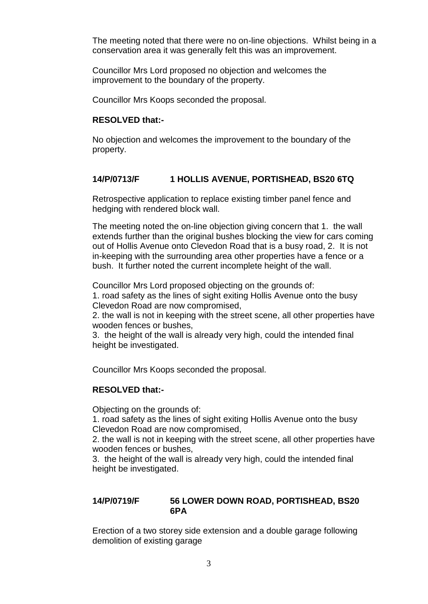The meeting noted that there were no on-line objections. Whilst being in a conservation area it was generally felt this was an improvement.

Councillor Mrs Lord proposed no objection and welcomes the improvement to the boundary of the property.

Councillor Mrs Koops seconded the proposal.

## **RESOLVED that:-**

No objection and welcomes the improvement to the boundary of the property.

## **14/P/0713/F 1 HOLLIS AVENUE, PORTISHEAD, BS20 6TQ**

Retrospective application to replace existing timber panel fence and hedging with rendered block wall.

The meeting noted the on-line objection giving concern that 1. the wall extends further than the original bushes blocking the view for cars coming out of Hollis Avenue onto Clevedon Road that is a busy road, 2. It is not in-keeping with the surrounding area other properties have a fence or a bush. It further noted the current incomplete height of the wall.

Councillor Mrs Lord proposed objecting on the grounds of:

1. road safety as the lines of sight exiting Hollis Avenue onto the busy Clevedon Road are now compromised,

2. the wall is not in keeping with the street scene, all other properties have wooden fences or bushes,

3. the height of the wall is already very high, could the intended final height be investigated.

Councillor Mrs Koops seconded the proposal.

### **RESOLVED that:-**

Objecting on the grounds of:

1. road safety as the lines of sight exiting Hollis Avenue onto the busy Clevedon Road are now compromised,

2. the wall is not in keeping with the street scene, all other properties have wooden fences or bushes,

3. the height of the wall is already very high, could the intended final height be investigated.

### **14/P/0719/F 56 LOWER DOWN ROAD, PORTISHEAD, BS20 6PA**

Erection of a two storey side extension and a double garage following demolition of existing garage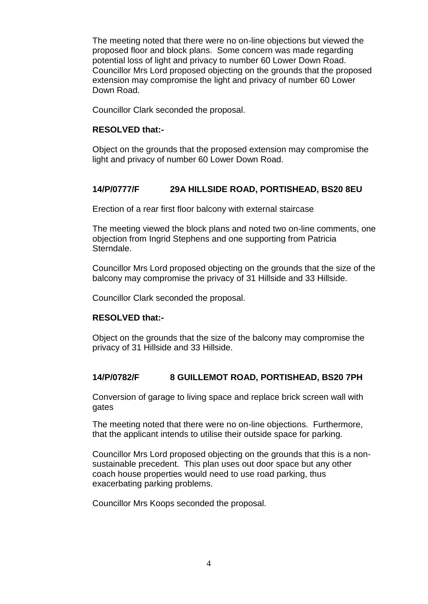The meeting noted that there were no on-line objections but viewed the proposed floor and block plans. Some concern was made regarding potential loss of light and privacy to number 60 Lower Down Road. Councillor Mrs Lord proposed objecting on the grounds that the proposed extension may compromise the light and privacy of number 60 Lower Down Road.

Councillor Clark seconded the proposal.

### **RESOLVED that:-**

Object on the grounds that the proposed extension may compromise the light and privacy of number 60 Lower Down Road.

### **14/P/0777/F 29A HILLSIDE ROAD, PORTISHEAD, BS20 8EU**

Erection of a rear first floor balcony with external staircase

The meeting viewed the block plans and noted two on-line comments, one objection from Ingrid Stephens and one supporting from Patricia Sterndale.

Councillor Mrs Lord proposed objecting on the grounds that the size of the balcony may compromise the privacy of 31 Hillside and 33 Hillside.

Councillor Clark seconded the proposal.

### **RESOLVED that:-**

Object on the grounds that the size of the balcony may compromise the privacy of 31 Hillside and 33 Hillside.

### **14/P/0782/F 8 GUILLEMOT ROAD, PORTISHEAD, BS20 7PH**

Conversion of garage to living space and replace brick screen wall with gates

The meeting noted that there were no on-line objections. Furthermore, that the applicant intends to utilise their outside space for parking.

Councillor Mrs Lord proposed objecting on the grounds that this is a nonsustainable precedent. This plan uses out door space but any other coach house properties would need to use road parking, thus exacerbating parking problems.

Councillor Mrs Koops seconded the proposal.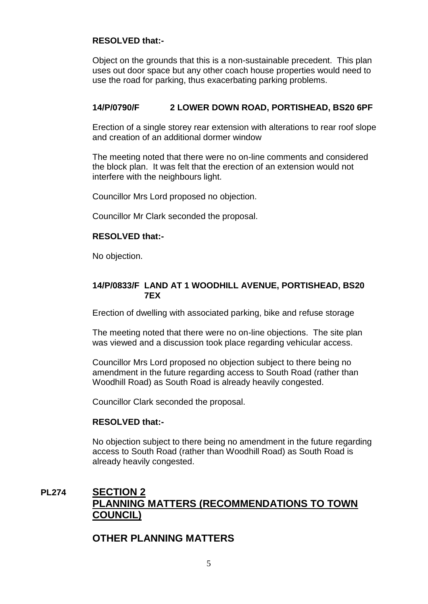### **RESOLVED that:-**

Object on the grounds that this is a non-sustainable precedent. This plan uses out door space but any other coach house properties would need to use the road for parking, thus exacerbating parking problems.

## **14/P/0790/F 2 LOWER DOWN ROAD, PORTISHEAD, BS20 6PF**

Erection of a single storey rear extension with alterations to rear roof slope and creation of an additional dormer window

The meeting noted that there were no on-line comments and considered the block plan. It was felt that the erection of an extension would not interfere with the neighbours light.

Councillor Mrs Lord proposed no objection.

Councillor Mr Clark seconded the proposal.

### **RESOLVED that:-**

No objection.

#### **14/P/0833/F LAND AT 1 WOODHILL AVENUE, PORTISHEAD, BS20 7EX**

Erection of dwelling with associated parking, bike and refuse storage

The meeting noted that there were no on-line objections. The site plan was viewed and a discussion took place regarding vehicular access.

Councillor Mrs Lord proposed no objection subject to there being no amendment in the future regarding access to South Road (rather than Woodhill Road) as South Road is already heavily congested.

Councillor Clark seconded the proposal.

### **RESOLVED that:-**

No objection subject to there being no amendment in the future regarding access to South Road (rather than Woodhill Road) as South Road is already heavily congested.

# **PL274 SECTION 2 PLANNING MATTERS (RECOMMENDATIONS TO TOWN COUNCIL)**

# **OTHER PLANNING MATTERS**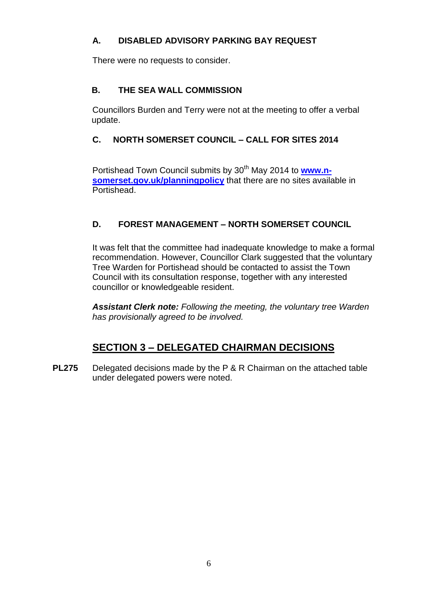# **A. DISABLED ADVISORY PARKING BAY REQUEST**

There were no requests to consider.

# **B. THE SEA WALL COMMISSION**

Councillors Burden and Terry were not at the meeting to offer a verbal update.

## **C. NORTH SOMERSET COUNCIL – CALL FOR SITES 2014**

Portishead Town Council submits by 30<sup>th</sup> May 2014 to **[www.n](http://www.n-somerset.gov.uk/planningpolicy)[somerset.gov.uk/planningpolicy](http://www.n-somerset.gov.uk/planningpolicy)** that there are no sites available in Portishead.

## **D. FOREST MANAGEMENT – NORTH SOMERSET COUNCIL**

It was felt that the committee had inadequate knowledge to make a formal recommendation. However, Councillor Clark suggested that the voluntary Tree Warden for Portishead should be contacted to assist the Town Council with its consultation response, together with any interested councillor or knowledgeable resident.

*Assistant Clerk note: Following the meeting, the voluntary tree Warden has provisionally agreed to be involved.*

# **SECTION 3 – DELEGATED CHAIRMAN DECISIONS**

**PL275** Delegated decisions made by the P & R Chairman on the attached table under delegated powers were noted.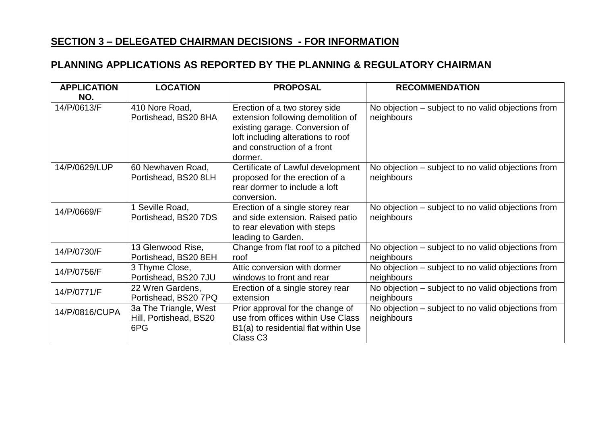# **SECTION 3 – DELEGATED CHAIRMAN DECISIONS - FOR INFORMATION**

# **PLANNING APPLICATIONS AS REPORTED BY THE PLANNING & REGULATORY CHAIRMAN**

| <b>APPLICATION</b><br>NO. | <b>LOCATION</b>                                        | <b>PROPOSAL</b>                                                                                                                                                                      | <b>RECOMMENDATION</b>                                            |
|---------------------------|--------------------------------------------------------|--------------------------------------------------------------------------------------------------------------------------------------------------------------------------------------|------------------------------------------------------------------|
| 14/P/0613/F               | 410 Nore Road,<br>Portishead, BS20 8HA                 | Erection of a two storey side<br>extension following demolition of<br>existing garage. Conversion of<br>loft including alterations to roof<br>and construction of a front<br>dormer. | No objection – subject to no valid objections from<br>neighbours |
| 14/P/0629/LUP             | 60 Newhaven Road,<br>Portishead, BS20 8LH              | Certificate of Lawful development<br>proposed for the erection of a<br>rear dormer to include a loft<br>conversion.                                                                  | No objection – subject to no valid objections from<br>neighbours |
| 14/P/0669/F               | Seville Road,<br>Portishead, BS20 7DS                  | Erection of a single storey rear<br>and side extension. Raised patio<br>to rear elevation with steps<br>leading to Garden.                                                           | No objection – subject to no valid objections from<br>neighbours |
| 14/P/0730/F               | 13 Glenwood Rise,<br>Portishead, BS20 8EH              | Change from flat roof to a pitched<br>roof                                                                                                                                           | No objection – subject to no valid objections from<br>neighbours |
| 14/P/0756/F               | 3 Thyme Close,<br>Portishead, BS20 7JU                 | Attic conversion with dormer<br>windows to front and rear                                                                                                                            | No objection – subject to no valid objections from<br>neighbours |
| 14/P/0771/F               | 22 Wren Gardens,<br>Portishead, BS20 7PQ               | Erection of a single storey rear<br>extension                                                                                                                                        | No objection – subject to no valid objections from<br>neighbours |
| 14/P/0816/CUPA            | 3a The Triangle, West<br>Hill, Portishead, BS20<br>6PG | Prior approval for the change of<br>use from offices within Use Class<br>B1(a) to residential flat within Use<br>Class C <sub>3</sub>                                                | No objection – subject to no valid objections from<br>neighbours |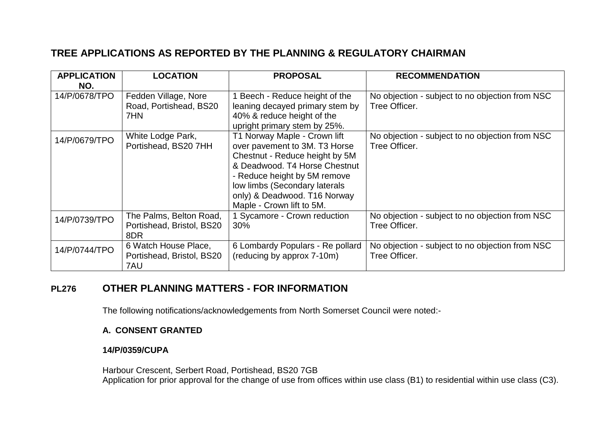# **TREE APPLICATIONS AS REPORTED BY THE PLANNING & REGULATORY CHAIRMAN**

| <b>APPLICATION</b><br>NO. | <b>LOCATION</b>                                             | <b>PROPOSAL</b>                                                                                                                                                                                                                                                | <b>RECOMMENDATION</b>                                            |
|---------------------------|-------------------------------------------------------------|----------------------------------------------------------------------------------------------------------------------------------------------------------------------------------------------------------------------------------------------------------------|------------------------------------------------------------------|
| 14/P/0678/TPO             | Fedden Village, Nore<br>Road, Portishead, BS20<br>7HN       | 1 Beech - Reduce height of the<br>leaning decayed primary stem by<br>40% & reduce height of the<br>upright primary stem by 25%.                                                                                                                                | No objection - subject to no objection from NSC<br>Tree Officer. |
| 14/P/0679/TPO             | White Lodge Park,<br>Portishead, BS20 7HH                   | T1 Norway Maple - Crown lift<br>over pavement to 3M. T3 Horse<br>Chestnut - Reduce height by 5M<br>& Deadwood. T4 Horse Chestnut<br>- Reduce height by 5M remove<br>low limbs (Secondary laterals<br>only) & Deadwood. T16 Norway<br>Maple - Crown lift to 5M. | No objection - subject to no objection from NSC<br>Tree Officer. |
| 14/P/0739/TPO             | The Palms, Belton Road,<br>Portishead, Bristol, BS20<br>8DR | 1 Sycamore - Crown reduction<br>30%                                                                                                                                                                                                                            | No objection - subject to no objection from NSC<br>Tree Officer. |
| 14/P/0744/TPO             | 6 Watch House Place,<br>Portishead, Bristol, BS20<br>7AU    | 6 Lombardy Populars - Re pollard<br>(reducing by approx 7-10m)                                                                                                                                                                                                 | No objection - subject to no objection from NSC<br>Tree Officer. |

# **PL276 OTHER PLANNING MATTERS - FOR INFORMATION**

The following notifications/acknowledgements from North Somerset Council were noted:-

## **A. CONSENT GRANTED**

## **14/P/0359/CUPA**

Harbour Crescent, Serbert Road, Portishead, BS20 7GB Application for prior approval for the change of use from offices within use class (B1) to residential within use class (C3).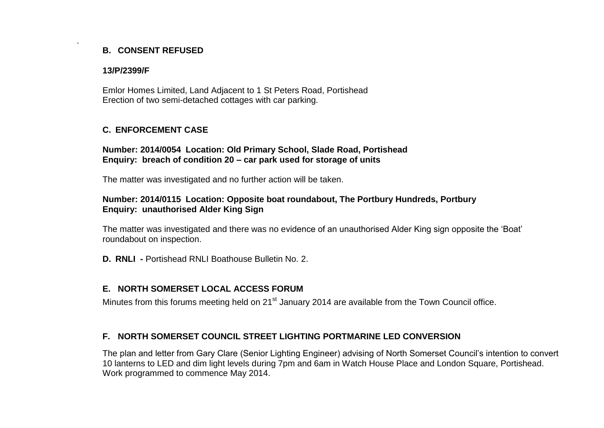## **B. CONSENT REFUSED**

#### **13/P/2399/F**

.

Emlor Homes Limited, Land Adjacent to 1 St Peters Road, Portishead Erection of two semi-detached cottages with car parking.

## **C. ENFORCEMENT CASE**

### **Number: 2014/0054 Location: Old Primary School, Slade Road, Portishead Enquiry: breach of condition 20 – car park used for storage of units**

The matter was investigated and no further action will be taken.

### **Number: 2014/0115 Location: Opposite boat roundabout, The Portbury Hundreds, Portbury Enquiry: unauthorised Alder King Sign**

The matter was investigated and there was no evidence of an unauthorised Alder King sign opposite the 'Boat' roundabout on inspection.

**D. RNLI -** Portishead RNLI Boathouse Bulletin No. 2.

## **E. NORTH SOMERSET LOCAL ACCESS FORUM**

Minutes from this forums meeting held on 21<sup>st</sup> January 2014 are available from the Town Council office.

## **F. NORTH SOMERSET COUNCIL STREET LIGHTING PORTMARINE LED CONVERSION**

The plan and letter from Gary Clare (Senior Lighting Engineer) advising of North Somerset Council's intention to convert 10 lanterns to LED and dim light levels during 7pm and 6am in Watch House Place and London Square, Portishead. Work programmed to commence May 2014.